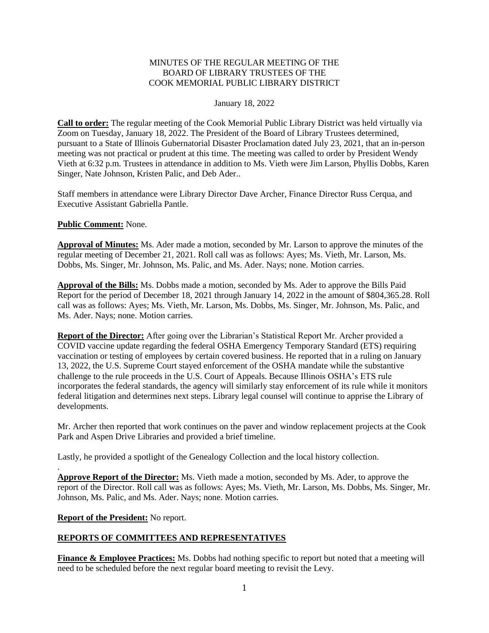## MINUTES OF THE REGULAR MEETING OF THE BOARD OF LIBRARY TRUSTEES OF THE COOK MEMORIAL PUBLIC LIBRARY DISTRICT

## January 18, 2022

**Call to order:** The regular meeting of the Cook Memorial Public Library District was held virtually via Zoom on Tuesday, January 18, 2022. The President of the Board of Library Trustees determined, pursuant to a State of Illinois Gubernatorial Disaster Proclamation dated July 23, 2021, that an in-person meeting was not practical or prudent at this time. The meeting was called to order by President Wendy Vieth at 6:32 p.m. Trustees in attendance in addition to Ms. Vieth were Jim Larson, Phyllis Dobbs, Karen Singer, Nate Johnson, Kristen Palic, and Deb Ader..

Staff members in attendance were Library Director Dave Archer, Finance Director Russ Cerqua, and Executive Assistant Gabriella Pantle.

**Public Comment:** None.

**Approval of Minutes:** Ms. Ader made a motion, seconded by Mr. Larson to approve the minutes of the regular meeting of December 21, 2021. Roll call was as follows: Ayes; Ms. Vieth, Mr. Larson, Ms. Dobbs, Ms. Singer, Mr. Johnson, Ms. Palic, and Ms. Ader. Nays; none. Motion carries.

**Approval of the Bills:** Ms. Dobbs made a motion, seconded by Ms. Ader to approve the Bills Paid Report for the period of December 18, 2021 through January 14, 2022 in the amount of \$804,365.28. Roll call was as follows: Ayes; Ms. Vieth, Mr. Larson, Ms. Dobbs, Ms. Singer, Mr. Johnson, Ms. Palic, and Ms. Ader. Nays; none. Motion carries.

**Report of the Director:** After going over the Librarian's Statistical Report Mr. Archer provided a COVID vaccine update regarding the federal OSHA Emergency Temporary Standard (ETS) requiring vaccination or testing of employees by certain covered business. He reported that in a ruling on January 13, 2022, the U.S. Supreme Court stayed enforcement of the OSHA mandate while the substantive challenge to the rule proceeds in the U.S. Court of Appeals. Because Illinois OSHA's ETS rule incorporates the federal standards, the agency will similarly stay enforcement of its rule while it monitors federal litigation and determines next steps. Library legal counsel will continue to apprise the Library of developments.

Mr. Archer then reported that work continues on the paver and window replacement projects at the Cook Park and Aspen Drive Libraries and provided a brief timeline.

Lastly, he provided a spotlight of the Genealogy Collection and the local history collection.

**Approve Report of the Director:** Ms. Vieth made a motion, seconded by Ms. Ader, to approve the report of the Director. Roll call was as follows: Ayes; Ms. Vieth, Mr. Larson, Ms. Dobbs, Ms. Singer, Mr. Johnson, Ms. Palic, and Ms. Ader. Nays; none. Motion carries.

**Report of the President:** No report.

.

## **REPORTS OF COMMITTEES AND REPRESENTATIVES**

**Finance & Employee Practices:** Ms. Dobbs had nothing specific to report but noted that a meeting will need to be scheduled before the next regular board meeting to revisit the Levy.